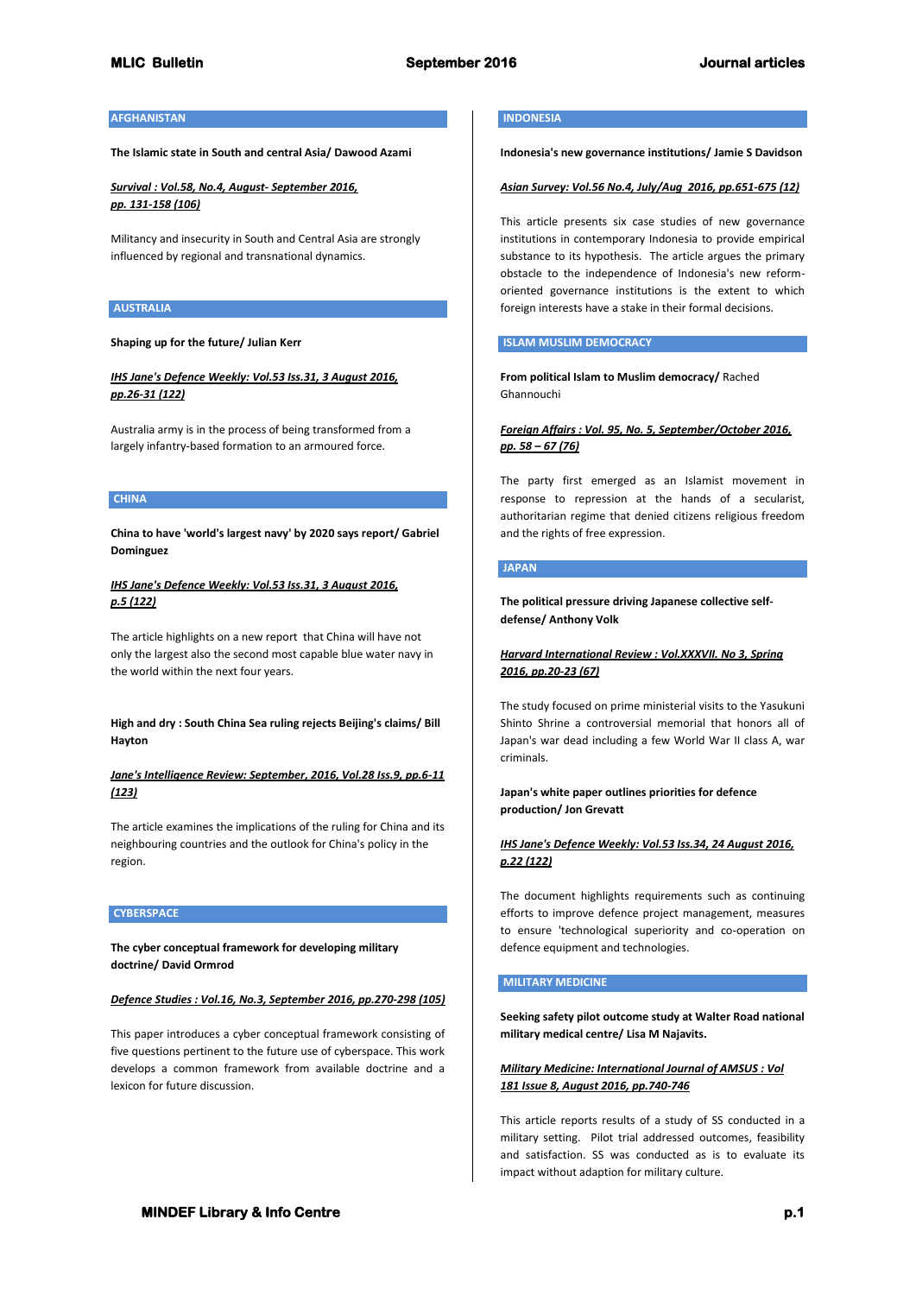# **MLIC Bulletin September 2016 Journal articles**

# **AFGHANISTAN**

**The Islamic state in South and central Asia/ Dawood Azami**

*Survival : Vol.58, No.4, August- September 2016, pp. 131-158 (106)*

Militancy and insecurity in South and Central Asia are strongly influenced by regional and transnational dynamics.

#### **AUSTRALIA**

#### **Shaping up for the future/ Julian Kerr**

# *IHS Jane's Defence Weekly: Vol.53 Iss.31, 3 August 2016, pp.26-31 (122)*

Australia army is in the process of being transformed from a largely infantry-based formation to an armoured force.

# **CHINA**

**China to have 'world's largest navy' by 2020 says report/ Gabriel Dominguez**

# *IHS Jane's Defence Weekly: Vol.53 Iss.31, 3 August 2016, p.5 (122)*

The article highlights on a new report that China will have not only the largest also the second most capable blue water navy in the world within the next four years.

**High and dry : South China Sea ruling rejects Beijing's claims/ Bill Hayton**

# *Jane's Intelligence Review: September, 2016, Vol.28 Iss.9, pp.6-11 (123)*

The article examines the implications of the ruling for China and its neighbouring countries and the outlook for China's policy in the region.

## **CYBERSPACE**

**The cyber conceptual framework for developing military doctrine/ David Ormrod**

#### *Defence Studies : Vol.16, No.3, September 2016, pp.270-298 (105)*

This paper introduces a cyber conceptual framework consisting of five questions pertinent to the future use of cyberspace. This work develops a common framework from available doctrine and a lexicon for future discussion.

# **INDONESIA**

**Indonesia's new governance institutions/ Jamie S Davidson**

#### *Asian Survey: Vol.56 No.4, July/Aug 2016, pp.651-675 (12)*

This article presents six case studies of new governance institutions in contemporary Indonesia to provide empirical substance to its hypothesis. The article argues the primary obstacle to the independence of Indonesia's new reformoriented governance institutions is the extent to which foreign interests have a stake in their formal decisions.

# **ISLAM MUSLIM DEMOCRACY**

**From political Islam to Muslim democracy/** Rached Ghannouchi

# *Foreign Affairs : Vol. 95, No. 5, September/October 2016, pp. 58 – 67 (76)*

The party first emerged as an Islamist movement in response to repression at the hands of a secularist, authoritarian regime that denied citizens religious freedom and the rights of free expression.

# **JAPAN**

**The political pressure driving Japanese collective selfdefense/ Anthony Volk**

# *Harvard International Review : Vol.XXXVII. No 3, Spring 2016, pp.20-23 (67)*

The study focused on prime ministerial visits to the Yasukuni Shinto Shrine a controversial memorial that honors all of Japan's war dead including a few World War II class A, war criminals.

## **Japan's white paper outlines priorities for defence production/ Jon Grevatt**

# *IHS Jane's Defence Weekly: Vol.53 Iss.34, 24 August 2016, p.22 (122)*

The document highlights requirements such as continuing efforts to improve defence project management, measures to ensure 'technological superiority and co-operation on defence equipment and technologies.

# **MILITARY MEDICINE**

**Seeking safety pilot outcome study at Walter Road national military medical centre/ Lisa M Najavits.**

# *Military Medicine: International Journal of AMSUS : Vol 181 Issue 8, August 2016, pp.740-746*

This article reports results of a study of SS conducted in a military setting. Pilot trial addressed outcomes, feasibility and satisfaction. SS was conducted as is to evaluate its impact without adaption for military culture.